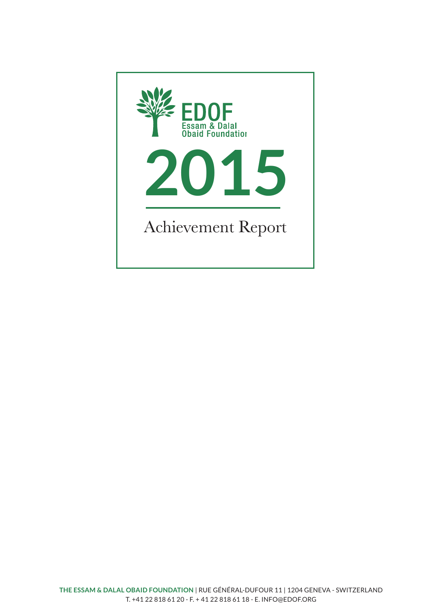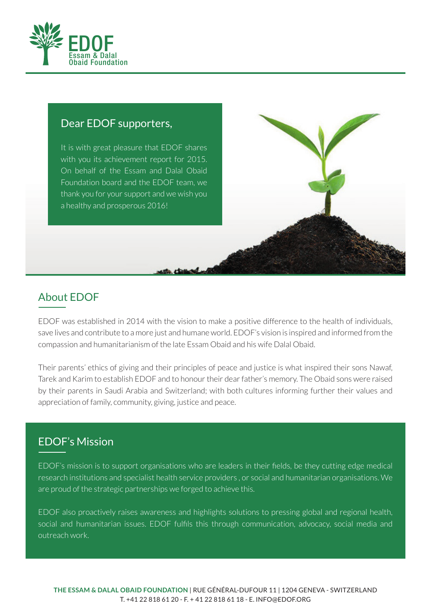

#### Dear EDOF supporters,

It is with great pleasure that EDOF shares with you its achievement report for 2015. On behalf of the Essam and Dalal Obaid Foundation board and the EDOF team, we thank you for your support and we wish you a healthy and prosperous 2016!

# About EDOF

EDOF was established in 2014 with the vision to make a positive difference to the health of individuals, save lives and contribute to a more just and humane world. EDOF's vision is inspired and informed from the compassion and humanitarianism of the late Essam Obaid and his wife Dalal Obaid.

Their parents' ethics of giving and their principles of peace and justice is what inspired their sons Nawaf, Tarek and Karim to establish EDOF and to honour their dear father's memory. The Obaid sons were raised by their parents in Saudi Arabia and Switzerland; with both cultures informing further their values and appreciation of family, community, giving, justice and peace.

## EDOF's Mission

EDOF's mission is to support organisations who are leaders in their fields, be they cutting edge medical research institutions and specialist health service providers , or social and humanitarian organisations. We are proud of the strategic partnerships we forged to achieve this.

EDOF also proactively raises awareness and highlights solutions to pressing global and regional health, social and humanitarian issues. EDOF fulfils this through communication, advocacy, social media and outreach work.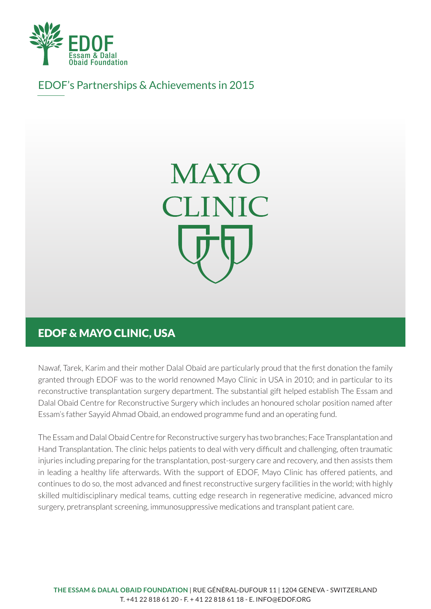

EDOF's Partnerships & Achievements in 2015



# EDOF & MAYO CLINIC, USA

Nawaf, Tarek, Karim and their mother Dalal Obaid are particularly proud that the first donation the family granted through EDOF was to the world renowned Mayo Clinic in USA in 2010; and in particular to its reconstructive transplantation surgery department. The substantial gift helped establish The Essam and Dalal Obaid Centre for Reconstructive Surgery which includes an honoured scholar position named after Essam's father Sayyid Ahmad Obaid, an endowed programme fund and an operating fund.

The Essam and Dalal Obaid Centre for Reconstructive surgery has two branches; Face Transplantation and Hand Transplantation. The clinic helps patients to deal with very difficult and challenging, often traumatic injuries including preparing for the transplantation, post-surgery care and recovery, and then assists them in leading a healthy life afterwards. With the support of EDOF, Mayo Clinic has offered patients, and continues to do so, the most advanced and finest reconstructive surgery facilities in the world; with highly skilled multidisciplinary medical teams, cutting edge research in regenerative medicine, advanced micro surgery, pretransplant screening, immunosuppressive medications and transplant patient care.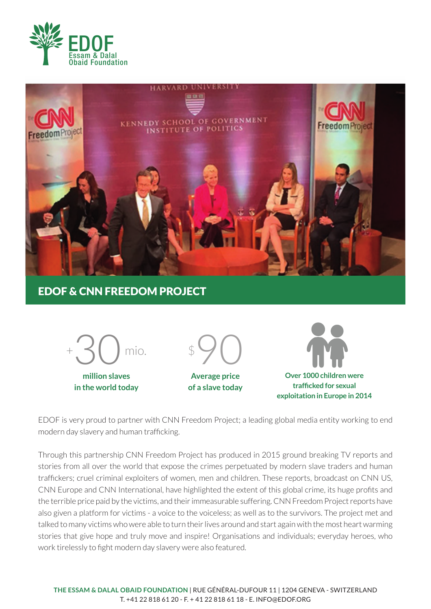



## EDOF & CNN FREEDOM PROJECT



**million slaves in the world today**



**Average price of a slave today**



**traffi cked for sexual exploitation in Europe in 2014**

EDOF is very proud to partner with CNN Freedom Project; a leading global media entity working to end modern day slavery and human trafficking.

Through this partnership CNN Freedom Project has produced in 2015 ground breaking TV reports and stories from all over the world that expose the crimes perpetuated by modern slave traders and human traffickers; cruel criminal exploiters of women, men and children. These reports, broadcast on CNN US, CNN Europe and CNN International, have highlighted the extent of this global crime, its huge profits and the terrible price paid by the victims, and their immeasurable suffering. CNN Freedom Project reports have also given a platform for victims - a voice to the voiceless; as well as to the survivors. The project met and talked to many victims who were able to turn their lives around and start again with the most heart warming stories that give hope and truly move and inspire! Organisations and individuals; everyday heroes, who work tirelessly to fight modern day slavery were also featured.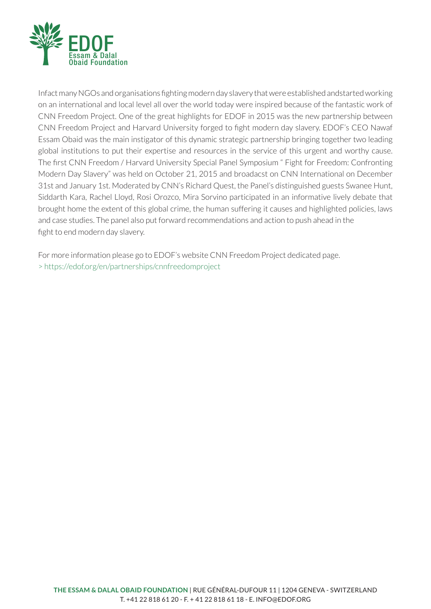

Infact many NGOs and organisations fighting modern day slavery that were established andstarted working on an international and local level all over the world today were inspired because of the fantastic work of CNN Freedom Project. One of the great highlights for EDOF in 2015 was the new partnership between CNN Freedom Project and Harvard University forged to fight modern day slavery. EDOF's CEO Nawaf Essam Obaid was the main instigator of this dynamic strategic partnership bringing together two leading global institutions to put their expertise and resources in the service of this urgent and worthy cause. The first CNN Freedom / Harvard University Special Panel Symposium " Fight for Freedom: Confronting Modern Day Slavery" was held on October 21, 2015 and broadacst on CNN International on December 31st and January 1st. Moderated by CNN's Richard Quest, the Panel's distinguished guests Swanee Hunt, Siddarth Kara, Rachel Lloyd, Rosi Orozco, Mira Sorvino participated in an informative lively debate that brought home the extent of this global crime, the human suffering it causes and highlighted policies, laws and case studies. The panel also put forward recommendations and action to push ahead in the fight to end modern day slavery.

For more information please go to EDOF's website CNN Freedom Project dedicated page. > https://edof.org/en/partnerships/cnnfreedomproject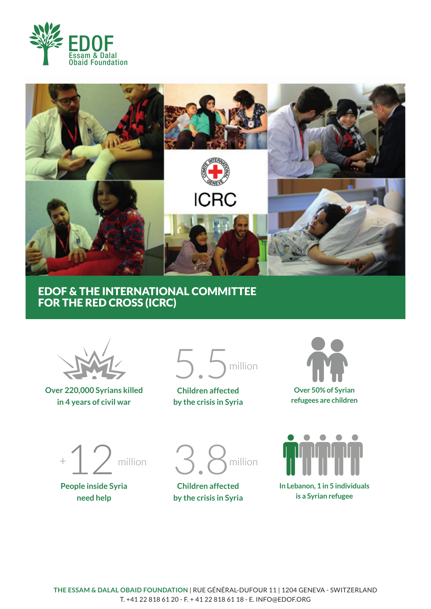



### EDOF & THE INTERNATIONAL COMMITTEE FOR THE RED CROSS (ICRC)



#### **Over 220,000 Syrians killed in 4 years of civil war**



**Children affected by the crisis in Syria**





**People inside Syria need help**



**Children affected by the crisis in Syria**

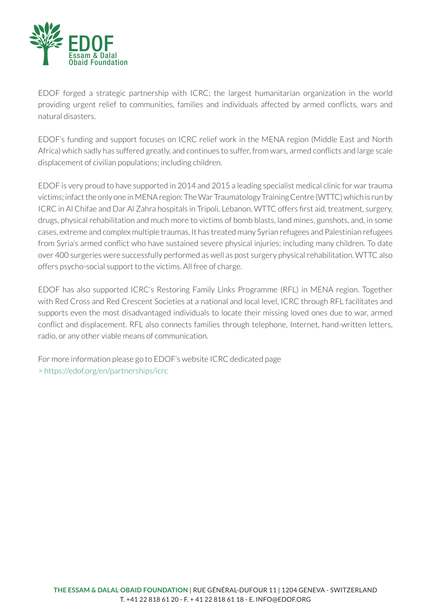

EDOF forged a strategic partnership with ICRC; the largest humanitarian organization in the world providing urgent relief to communities, families and individuals affected by armed conflicts, wars and natural disasters.

EDOF's funding and support focuses on ICRC relief work in the MENA region (Middle East and North Africa) which sadly has suffered greatly, and continues to suffer, from wars, armed conflicts and large scale displacement of civilian populations; including children.

EDOF is very proud to have supported in 2014 and 2015 a leading specialist medical clinic for war trauma victims; infact the only one in MENA region: The War Traumatology Training Centre (WTTC) which is run by ICRC in Al Chifae and Dar Al Zahra hospitals in Tripoli, Lebanon. WTTC offers first aid, treatment, surgery, drugs, physical rehabilitation and much more to victims of bomb blasts, land mines, gunshots, and, in some cases, extreme and complex multiple traumas. It has treated many Syrian refugees and Palestinian refugees from Syria's armed conflict who have sustained severe physical injuries; including many children. To date over 400 surgeries were successfully performed as well as post surgery physical rehabilitation. WTTC also offers psycho-social support to the victims. All free of charge.

EDOF has also supported ICRC's Restoring Family Links Programme (RFL) in MENA region. Together with Red Cross and Red Crescent Societies at a national and local level, ICRC through RFL facilitates and supports even the most disadvantaged individuals to locate their missing loved ones due to war, armed conflict and displacement. RFL also connects families through telephone, Internet, hand-written letters, radio, or any other viable means of communication.

For more information please go to EDOF's website ICRC dedicated page > https://edof.org/en/partnerships/icrc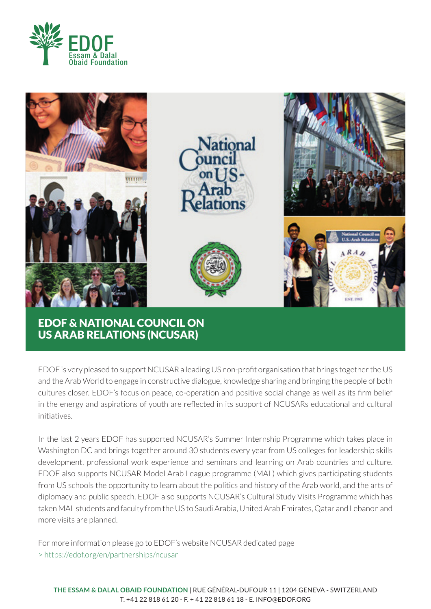



US ARAB RELATIONS (NCUSAR)

EDOF is very pleased to support NCUSAR a leading US non-profi t organisation that brings together the US and the Arab World to engage in constructive dialogue, knowledge sharing and bringing the people of both cultures closer. EDOF's focus on peace, co-operation and positive social change as well as its firm belief in the energy and aspirations of youth are reflected in its support of NCUSARs educational and cultural initiatives.

In the last 2 years EDOF has supported NCUSAR's Summer Internship Programme which takes place in Washington DC and brings together around 30 students every year from US colleges for leadership skills development, professional work experience and seminars and learning on Arab countries and culture. EDOF also supports NCUSAR Model Arab League programme (MAL) which gives participating students from US schools the opportunity to learn about the politics and history of the Arab world, and the arts of diplomacy and public speech. EDOF also supports NCUSAR's Cultural Study Visits Programme which has taken MAL students and faculty from the US to Saudi Arabia, United Arab Emirates, Qatar and Lebanon and more visits are planned.

For more information please go to EDOF's website NCUSAR dedicated page > https://edof.org/en/partnerships/ncusar

**THE ESSAM & DALAL OBAID FOUNDATION** | RUE GÉNÉRAL-DUFOUR 11 | 1204 GENEVA - SWITZERLAND T. +41 22 818 61 20 - F. + 41 22 818 61 18 - E. INFO@EDOF.ORG